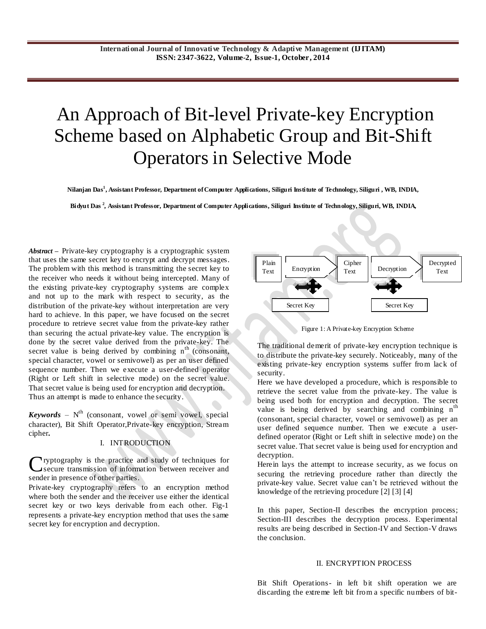# An Approach of Bit-level Private-key Encryption Scheme based on Alphabetic Group and Bit-Shift Operators in Selective Mode

**Nilanjan Das<sup>1</sup> , Assistant Professor, Department of Computer Applications, Siliguri Institute of Technology, Siliguri , WB, INDIA,**

**Bidyut Das <sup>2</sup> , Assistant Professor, Department of Computer Applications, Siliguri Institute of Technology, Siliguri, WB, INDIA,**

*Abstract* **–** Private-key cryptography is a [cryptographic](http://itlaw.wikia.com/wiki/Cryptographic) system that uses the same secre[t key](http://itlaw.wikia.com/wiki/Key) t[o encrypt](http://itlaw.wikia.com/wiki/Encrypt) and [decrypt](http://itlaw.wikia.com/wiki/Decrypt) [messages.](http://itlaw.wikia.com/wiki/Message) The problem with this method is [transmitting](http://itlaw.wikia.com/wiki/Transmit) the secret [key](http://itlaw.wikia.com/wiki/Key) to the receiver who needs it without bein[g intercepted.](http://itlaw.wikia.com/wiki/Intercept) Many of the existing private-key cryptography systems are complex and not up to the mark with respect to security, as the distribution of the private-key without interpretation are very hard to achieve. In this paper, we have focused on the secret procedure to retrieve secret value from the private-key rather than securing the actual private-key value. The encryption is done by the secret value derived from the private-key. The secret value is being derived by combining  $n<sup>th</sup>$  (consonant, special character, vowel or semivowel) as per an user defined sequence number. Then we execute a user-defined operator (Right or Left shift in selective mode) on the secret value. That secret value is being used for encryption and decryption. Thus an attempt is made to enhance the security.

*Keywords* – N th (consonant, vowel or semi vowel, special character), Bit Shift Operator,Private-key encryption, Stream cipher**.**

### I. INTRODUCTION

Cryptography is the practice and study of techniques for secure transmission of information between receiver and secure transmission of information between receiver and sender in presence of other parties.

Private-key cryptography refers to an encryption method where both the sender and the receiver use either the identical secret key or two keys derivable from each other. Fig-1 represents a private-key encryption method that uses the same secret key for encryption and decryption.



Figure 1: A Private-key Encryption Scheme

The traditional demerit of private-key encryption technique is to distribute the private-key securely. Noticeably, many of the existing private-key encryption systems suffer from lack of security.

Here we have developed a procedure, which is responsible to retrieve the secret value from the private-key. The value is being used both for encryption and decryption. The secret value is being derived by searching and combining  $n<sup>th</sup>$ (consonant, special character, vowel or semivowel) as per an user defined sequence number. Then we execute a userdefined operator (Right or Left shift in selective mode) on the secret value. That secret value is being used for encryption and decryption.

Herein lays the attempt to increase security, as we focus on securing the retrieving procedure rather than directly the private-key value. Secret value can"t be retrieved without the knowledge of the retrieving procedure [2] [3] [4]

In this paper, Section-II describes the encryption process; Section-III describes the decryption process. Experimental results are being described in Section-IV and Section-V draws the conclusion.

#### II. ENCRYPTION PROCESS

Bit Shift Operations- in left bit shift operation we are discarding the extreme left bit from a specific numbers of bit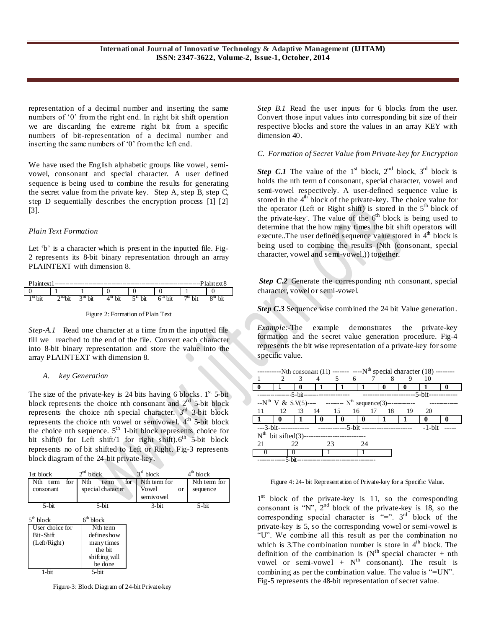representation of a decimal number and inserting the same numbers of '0' from the right end. In right bit shift operation we are discarding the extreme right bit from a specific numbers of bit-representation of a decimal number and inserting the same numbers of '0' from the left end.

We have used the English alphabetic groups like vowel, semivowel, consonant and special character. A user defined sequence is being used to combine the results for generating the secret value from the private key. Step A, step B, step C, step D sequentially describes the encryption process [1] [2] [3].

# *Plain Text Formation*

Let 'b' is a character which is present in the inputted file. Fig-2 represents its 8-bit binary representation through an array PLAINTEXT with dimension 8.

| <b>Plaint</b> evt<br>laintext S<br>----- |                   |            |     |     |                 |           |    |
|------------------------------------------|-------------------|------------|-----|-----|-----------------|-----------|----|
|                                          |                   |            |     |     |                 |           |    |
| 1 S L<br>DЦ                              | $\cap$ DO 1<br>υĸ | ¬⊥u<br>bit | Dll | bit | . u.<br>DЦ<br>ບ | ¬น<br>υıι | DЦ |

Figure 2: Formation of Plain Text

*Step-A.1* Read one character at a time from the inputted file till we reached to the end of the file. Convert each character into 8-bit binary representation and store the value into the array PLAINTEXT with dimension 8.

#### *A. key Generation*

The size of the private-key is 24 bits having 6 blocks.  $1<sup>st</sup>$  5-bit block represents the choice nth consonant and  $2<sup>nd</sup>$  5-bit block represents the choice nth special character.  $3<sup>rd</sup>$  3-bit block represents the choice nth vowel or semivowel. 4<sup>th</sup> 5-bit block the choice nth sequence.  $5<sup>th</sup>$  1-bit block represents choice for bit shift(0 for Left shift/1 for right shift).6<sup>th</sup> 5-bit block represents no of bit shifted to Left or Right. Fig-3 represents block diagram of the 24-bit private-key.

| $1st$ block     | 2 <sup>nd</sup> block | $3rd$ block  |    | 4 <sup>th</sup> block |
|-----------------|-----------------------|--------------|----|-----------------------|
| Nth term<br>for | Nth<br>for<br>term    | Nth term for |    | Nth term for          |
| consonant       | special character     | Vowel        | or | sequence              |
|                 |                       | semivowel    |    |                       |
| $5$ -bit        | 5-bit                 | $3$ -bit     |    | $5$ -bit              |
| $5th$ block     | $6th$ block           |              |    |                       |
| User choice for | N <sub>th</sub> term  |              |    |                       |
| Bit-Shift       | defines how           |              |    |                       |
| (Left/Right)    | manytimes             |              |    |                       |
|                 | the bit               |              |    |                       |
|                 | shifting will         |              |    |                       |
|                 | be done               |              |    |                       |
| $1-bit$         | 5-bit                 |              |    |                       |

Figure-3: Block Diagram of 24-bit Private-key

*Step B.1* Read the user inputs for 6 blocks from the user. Convert those input values into corresponding bit size of their respective blocks and store the values in an array KEY with dimension 40.

*C. Formation of Secret Value from Private-key for Encryption* 

*Step C.1* The value of the 1<sup>st</sup> block,  $2^{nd}$  block,  $3^{rd}$  block is holds the nth term of consonant, special character, vowel and semi-vowel respectively. A user-defined sequence value is stored in the  $4<sup>th</sup>$  block of the private-key. The choice value for the operator (Left or Right shift) is stored in the  $5<sup>th</sup>$  block of the private-key. The value of the  $6<sup>th</sup>$  block is being used to determine that the how many times the bit shift operators will execute..The user defined sequence value stored in  $4<sup>th</sup>$  block is being used to combine the results (Nth (consonant, special character, vowel and semi-vowel,)) together.

*Step* **C.2** Generate the corresponding nth consonant, special character, vowel or semi-vowel.

*Step C.3* Sequence wise combined the 24 bit Value generation.

*Example:-*The example demonstrates the private-key formation and the secret value generation procedure. Fig-4 represents the bit wise representation of a private-key for some specific value.

| -------Nth consonant (11) ------- ----N <sup>th</sup> special character (18) -------- |                               |                |                                                                   |              |     |   |  |              |  |
|---------------------------------------------------------------------------------------|-------------------------------|----------------|-------------------------------------------------------------------|--------------|-----|---|--|--------------|--|
|                                                                                       | $\mathfrak{D}_{\mathfrak{p}}$ |                | 3 4 5 6 7 8 9                                                     |              |     |   |  | $\sqrt{10}$  |  |
|                                                                                       |                               |                |                                                                   |              |     | 0 |  |              |  |
|                                                                                       |                               |                |                                                                   |              |     |   |  |              |  |
|                                                                                       |                               |                | $-N^{th}$ V & S.V(5)---- ------- $N^{th}$ sequence(3)-----------  |              |     |   |  |              |  |
| -11                                                                                   | - 12                          |                | 13 14 15 16 17 18 19                                              |              |     |   |  | - 20         |  |
|                                                                                       |                               |                |                                                                   |              |     |   |  |              |  |
|                                                                                       | l 0                           | $\blacksquare$ | - 0                                                               | $\mathbf{0}$ | l 0 |   |  | $\mathbf{0}$ |  |
|                                                                                       |                               |                | ---3-bit-------------- --------------5-bit ---------------------- |              |     |   |  | $-1$ -bit    |  |
|                                                                                       | $N^{th}$ bit sifted(3)--      |                |                                                                   |              |     |   |  |              |  |
| 21                                                                                    | 22.                           |                | 23                                                                |              | 24  |   |  |              |  |
|                                                                                       |                               |                |                                                                   |              |     |   |  |              |  |

Figure 4: 24- bit Representation of Private-key for a Specific Value.

1<sup>st</sup> block of the private-key is 11, so the corresponding consonant is "N",  $2<sup>nd</sup>$  block of the private-key is 18, so the corresponding special character is  $x = y$ . 3<sup>rd</sup> block of the private-key is 5, so the corresponding vowel or semi-vowel is "U". We combine all this result as per the combination no which is 3. The combination number is store in  $4<sup>th</sup>$  block. The definition of the combination is  $(N<sup>th</sup>$  special character + nth vowel or semi-vowel +  $N^{th}$  consonant). The result is combining as per the combination value. The value is "=UN". Fig-5 represents the 48-bit representation of secret value.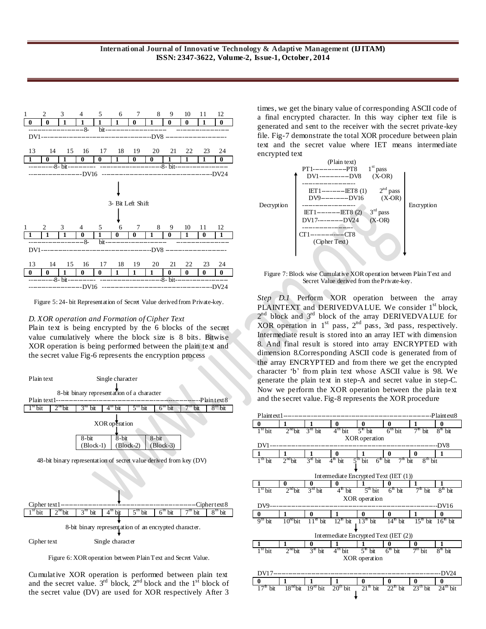

Figure 5: 24- bit Representation of Secret Value derived from Private-key.

#### *D. XOR operation and Formation of Cipher Text*

Plain text is being encrypted by the 6 blocks of the secret value cumulatively where the block size is 8 bits. Bitwise XOR operation is being performed between the plain text and the secret value Fig-6 represents the encryption process



Figure 6: XOR operation between Plain Text and Secret Value.

Cumulative XOR operation is performed between plain text and the secret value.  $3^{rd}$  block,  $2^{nd}$  block and the  $1^{st}$  block of the secret value (DV) are used for XOR respectively After 3

times, we get the binary value of corresponding ASCII code of a final encrypted character. In this way cipher text file is generated and sent to the receiver with the secret private-key file. Fig-7 demonstrate the total XOR procedure between plain text and the secret value where IET means intermediate encrypted text



Figure 7: Block wise Cumulative XOR operation between Plain Text and Secret Value derived from the Private-key.

*Step D.1* Perform XOR operation between the array PLAINTEXT and DERIVEDVALUE. We consider 1<sup>st</sup> block, 2<sup>nd</sup> block and 3<sup>rd</sup> block of the array DERIVEDVALUE for XOR operation in  $1<sup>st</sup>$  pass,  $2<sup>nd</sup>$  pass, 3rd pass, respectively. Intermediate result is stored into an array IET with dimension 8. And final result is stored into array ENCRYPTED with dimension 8.Corresponding ASCII code is generated from of the array ENCRYPTED and from there we get the encrypted character 'b' from plain text whose ASCII value is 98. We generate the plain text in step-A and secret value in step-C. Now we perform the XOR operation between the plain text and the secret value. Fig-8 represents the XOR procedure

| $\bf{0}$<br>$\bf{0}$<br>$\bf{0}$<br>1<br>$\bf{0}$<br>$\mathbf{0}$<br>1<br>1<br>$7th$ bit<br>$3rd$ bit<br>$4th$ bit<br>$5th$ bit<br>$6th$ bit<br>$2nd$ bit<br>8 <sup>th</sup><br>$1st$ bit<br>bit<br>XOR operation |  |
|-------------------------------------------------------------------------------------------------------------------------------------------------------------------------------------------------------------------|--|
|                                                                                                                                                                                                                   |  |
|                                                                                                                                                                                                                   |  |
|                                                                                                                                                                                                                   |  |
| DV1<br>DV8-                                                                                                                                                                                                       |  |
| 1<br>$\bf{0}$<br>1<br>1<br>1<br>$\bf{0}$<br>$\bf{0}$<br>1                                                                                                                                                         |  |
| $2nd$ bit<br>$3rd$ bit<br>$8th$ bit<br>$1th$ bit<br>$4th$ bit<br>5 <sup>th</sup><br>bit<br>$6th$ bit<br>$7th$ bit                                                                                                 |  |
|                                                                                                                                                                                                                   |  |
| Intermediate Encrypted Text (IET (1))                                                                                                                                                                             |  |
| 1<br>$\bf{0}$<br>1<br>$\boldsymbol{0}$<br>0<br>1<br>0                                                                                                                                                             |  |
| $2nd$ bit<br>$4th$ bit<br>$5th$ bit<br>$6th$ bit<br>$7th$ bit<br>$8th$ bit<br>1 <sup>st</sup> bit<br>$3rd$ bit                                                                                                    |  |
| XOR operation                                                                                                                                                                                                     |  |
| DV9.<br>DV16                                                                                                                                                                                                      |  |
| 1<br>1<br>$\bf{0}$<br>$\bf{0}$<br>$\bf{0}$<br>1<br>$\bf{0}$<br>0                                                                                                                                                  |  |
| $12th$ bit<br>$13th$ bit<br>$14th$ bit<br>$15th$ bit<br>$10nd$ bit<br>$11st$ bit<br>$9th$ bit<br>$16th$ bit                                                                                                       |  |
|                                                                                                                                                                                                                   |  |
| Intermediate Encrypted Text (IET (2))                                                                                                                                                                             |  |
| 1<br>1<br>1<br>0<br>1<br>$\boldsymbol{0}$<br>1<br>0                                                                                                                                                               |  |
| $2nd$ bit<br>$3rt$ bit<br>$7th$ bit<br>$8^{\text{th}}$ bit<br>1 <sup>st</sup> bit<br>$4th$ bit<br>$5th$ bit<br>$6th$ bit                                                                                          |  |
| XOR operation                                                                                                                                                                                                     |  |
|                                                                                                                                                                                                                   |  |
| DV17<br><b>DV24</b>                                                                                                                                                                                               |  |
| 1<br>$\bf{0}$<br>$\bf{0}$<br>$\mathbf{0}$<br>1<br>1<br>$\bf{0}$<br>$\mathbf{0}$                                                                                                                                   |  |
| $18nd$ bit<br>$21th$ bit<br>$23th$ bit<br>17 <sup>th</sup><br>$19nd$ bit<br>$20th$ bit<br>$22th$ bit<br>$24th$ bit<br>bit                                                                                         |  |
|                                                                                                                                                                                                                   |  |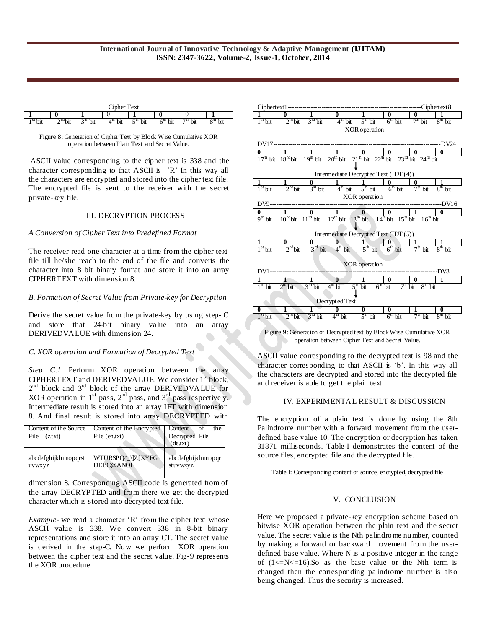| inher<br>$T_{\rm{ext}}$ |                                 |            |     |          |               |            |                |
|-------------------------|---------------------------------|------------|-----|----------|---------------|------------|----------------|
|                         |                                 |            |     |          |               |            |                |
| 5t.<br>bit              | $\cap$ nd <sub>1-</sub> :<br>UЦ | ົາພ<br>bit | bit | bit<br>ب | bit<br>.<br>v | 74.<br>bit | ∩m<br>bit<br>o |

Figure 8: Generation of Cipher Text by Block Wise Cumulative XOR operation between Plain Text and Secret Value.

ASCII value corresponding to the cipher text is 338 and the character corresponding to that ASCII is "R" In this way all the characters are encrypted and stored into the cipher text file. The encrypted file is sent to the receiver with the secret private-key file.

#### III. DECRYPTION PROCESS

#### *A Conversion of Cipher Text into Predefined Format*

The receiver read one character at a time from the cipher text file till he/she reach to the end of the file and converts the character into 8 bit binary format and store it into an array CIPHERTEXT with dimension 8.

#### *B. Formation of Secret Value from Private-key for Decryption*

Derive the secret value from the private-key by using step- C and store that 24-bit binary value into an array DERIVEDVALUE with dimension 24.

# *C. XOR operation and Formation of Decrypted Text*

*Step C.1* Perform XOR operation between the array CIPHERTEXT and DERIVEDVALUE. We consider 1<sup>st</sup> block,  $2^{nd}$  block and  $3^{rd}$  block of the array DERIVEDVALUE for XOR operation in  $1<sup>st</sup>$  pass,  $2<sup>nd</sup>$  pass, and  $3<sup>rd</sup>$  pass respectively. Intermediate result is stored into an array IET with dimension 8. And final result is stored into array DECRYPTED with

| Content of the Source<br>File<br>(z.txt) | Content of the Encrypted<br>File (en.txt) | Content<br>the<br>of<br>Decrypted File<br>(de.txt) |
|------------------------------------------|-------------------------------------------|----------------------------------------------------|
| abcdefghijklmnopqrst                     | WTURSPQ^_\]Z[XYFG                         | abcdefghijklmnopqr                                 |
| uvwxyz                                   | DEBC@ANOL                                 | stuvwxyz                                           |

dimension 8. Corresponding ASCII code is generated from of the array DECRYPTED and from there we get the decrypted character which is stored into decrypted text file.

*Example* - we read a character 'R' from the cipher text whose ASCII value is 338. We convert 338 in 8-bit binary representations and store it into an array CT. The secret value is derived in the step-C. Now we perform XOR operation between the cipher text and the secret value. Fig-9 represents the XOR procedure



Figure 9: Generation of Decrypted text by Block Wise Cumulative XOR operation between Cipher Text and Secret Value.

ASCII value corresponding to the decrypted text is 98 and the character corresponding to that ASCII is 'b'. In this way all the characters are decrypted and stored into the decrypted file and receiver is able to get the plain text.

# IV. EXPERIMENTAL RESULT & DISCUSSION

The encryption of a plain text is done by using the 8th Palindrome number with a forward movement from the userdefined base value 10. The encryption or decryption has taken 31871 milliseconds. Table-I demonstrates the content of the source files, encrypted file and the decrypted file.

Table I: Corresponding content of source, encrypted, decrypted file

# V. CONCLUSION

Here we proposed a private-key encryption scheme based on bitwise XOR operation between the plain text and the secret value. The secret value is the Nth palindrome number, counted by making a forward or backward movement from the userdefined base value. Where N is a positive integer in the range of  $(1\le N\le 16)$ . So as the base value or the Nth term is changed then the corresponding palindrome number is also being changed. Thus the security is increased.